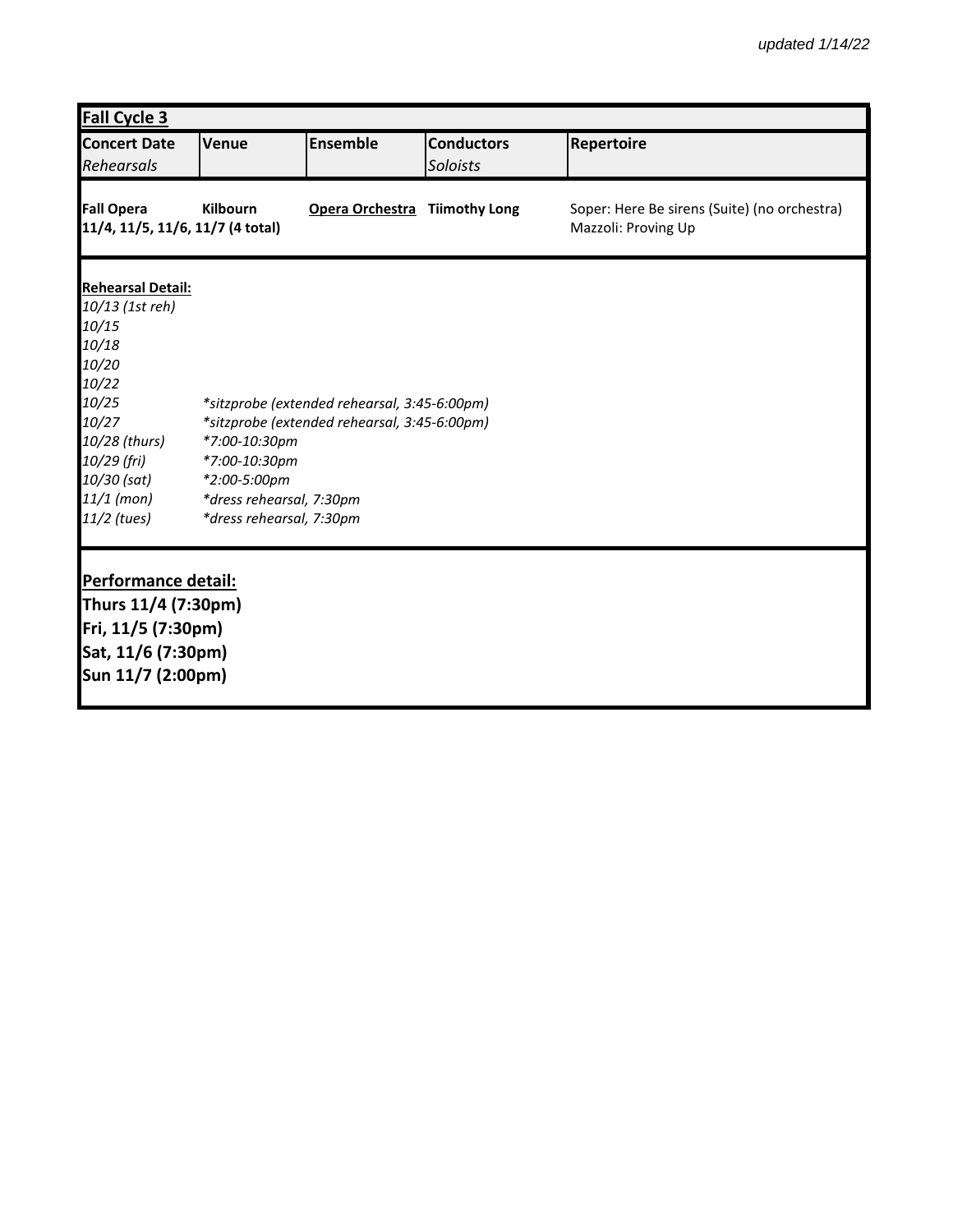| <b>Fall Cycle 3</b>                                                                                                                                                           |                                                                                                        |                                                                                              |                               |                                                                     |  |
|-------------------------------------------------------------------------------------------------------------------------------------------------------------------------------|--------------------------------------------------------------------------------------------------------|----------------------------------------------------------------------------------------------|-------------------------------|---------------------------------------------------------------------|--|
| <b>Concert Date</b><br>Rehearsals                                                                                                                                             | Venue                                                                                                  | <b>Ensemble</b>                                                                              | <b>Conductors</b><br>Soloists | Repertoire                                                          |  |
| <b>Fall Opera</b><br>11/4, 11/5, 11/6, 11/7 (4 total)                                                                                                                         | Kilbourn                                                                                               | Opera Orchestra Tiimothy Long                                                                |                               | Soper: Here Be sirens (Suite) (no orchestra)<br>Mazzoli: Proving Up |  |
| <b>Rehearsal Detail:</b><br>10/13 (1st reh)<br>10/15<br>10/18<br>10/20<br>10/22<br>10/25<br>10/27<br>10/28 (thurs)<br>10/29 (fri)<br>10/30 (sat)<br>11/1 (mon)<br>11/2 (tues) | *7:00-10:30pm<br>*7:00-10:30pm<br>*2:00-5:00pm<br>*dress rehearsal, 7:30pm<br>*dress rehearsal, 7:30pm | *sitzprobe (extended rehearsal, 3:45-6:00pm)<br>*sitzprobe (extended rehearsal, 3:45-6:00pm) |                               |                                                                     |  |
| Performance detail:<br>Thurs 11/4 (7:30pm)<br>Fri, 11/5 (7:30pm)<br>Sat, 11/6 (7:30pm)<br>Sun 11/7 (2:00pm)                                                                   |                                                                                                        |                                                                                              |                               |                                                                     |  |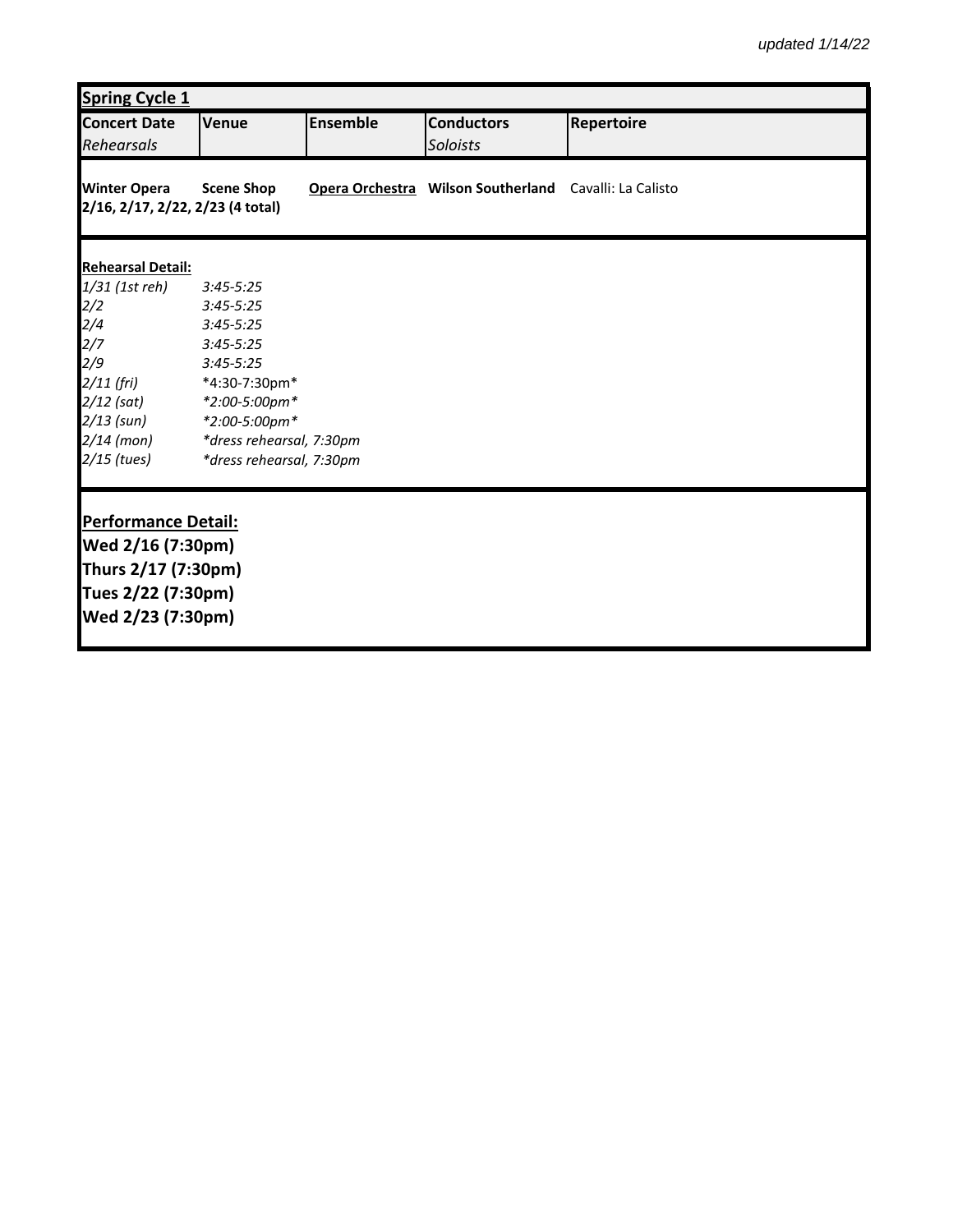| <b>Spring Cycle 1</b>                                   |                          |                 |                                                        |            |  |
|---------------------------------------------------------|--------------------------|-----------------|--------------------------------------------------------|------------|--|
| <b>Concert Date</b><br>Rehearsals                       | Venue                    | <b>Ensemble</b> | <b>Conductors</b><br>Soloists                          | Repertoire |  |
| <b>Winter Opera</b><br>2/16, 2/17, 2/22, 2/23 (4 total) | <b>Scene Shop</b>        |                 | Opera Orchestra Wilson Southerland Cavalli: La Calisto |            |  |
| <b>Rehearsal Detail:</b>                                |                          |                 |                                                        |            |  |
| 1/31 (1st reh)                                          | $3:45 - 5:25$            |                 |                                                        |            |  |
|                                                         | $3:45 - 5:25$            |                 |                                                        |            |  |
|                                                         | $3:45 - 5:25$            |                 |                                                        |            |  |
| 2/2<br>2/4<br>2/7<br>2/9                                | $3:45 - 5:25$            |                 |                                                        |            |  |
|                                                         | $3:45 - 5:25$            |                 |                                                        |            |  |
| $2/11$ (fri)                                            | *4:30-7:30pm*            |                 |                                                        |            |  |
| $2/12$ (sat)                                            | *2:00-5:00pm*            |                 |                                                        |            |  |
| 2/13 (sun)                                              | *2:00-5:00pm*            |                 |                                                        |            |  |
| $2/14$ (mon)                                            | *dress rehearsal, 7:30pm |                 |                                                        |            |  |
| $2/15$ (tues)                                           | *dress rehearsal, 7:30pm |                 |                                                        |            |  |
| <b>Performance Detail:</b>                              |                          |                 |                                                        |            |  |
| Wed 2/16 (7:30pm)                                       |                          |                 |                                                        |            |  |
| Thurs 2/17 (7:30pm)                                     |                          |                 |                                                        |            |  |
| Tues 2/22 (7:30pm)                                      |                          |                 |                                                        |            |  |
| Wed 2/23 (7:30pm)                                       |                          |                 |                                                        |            |  |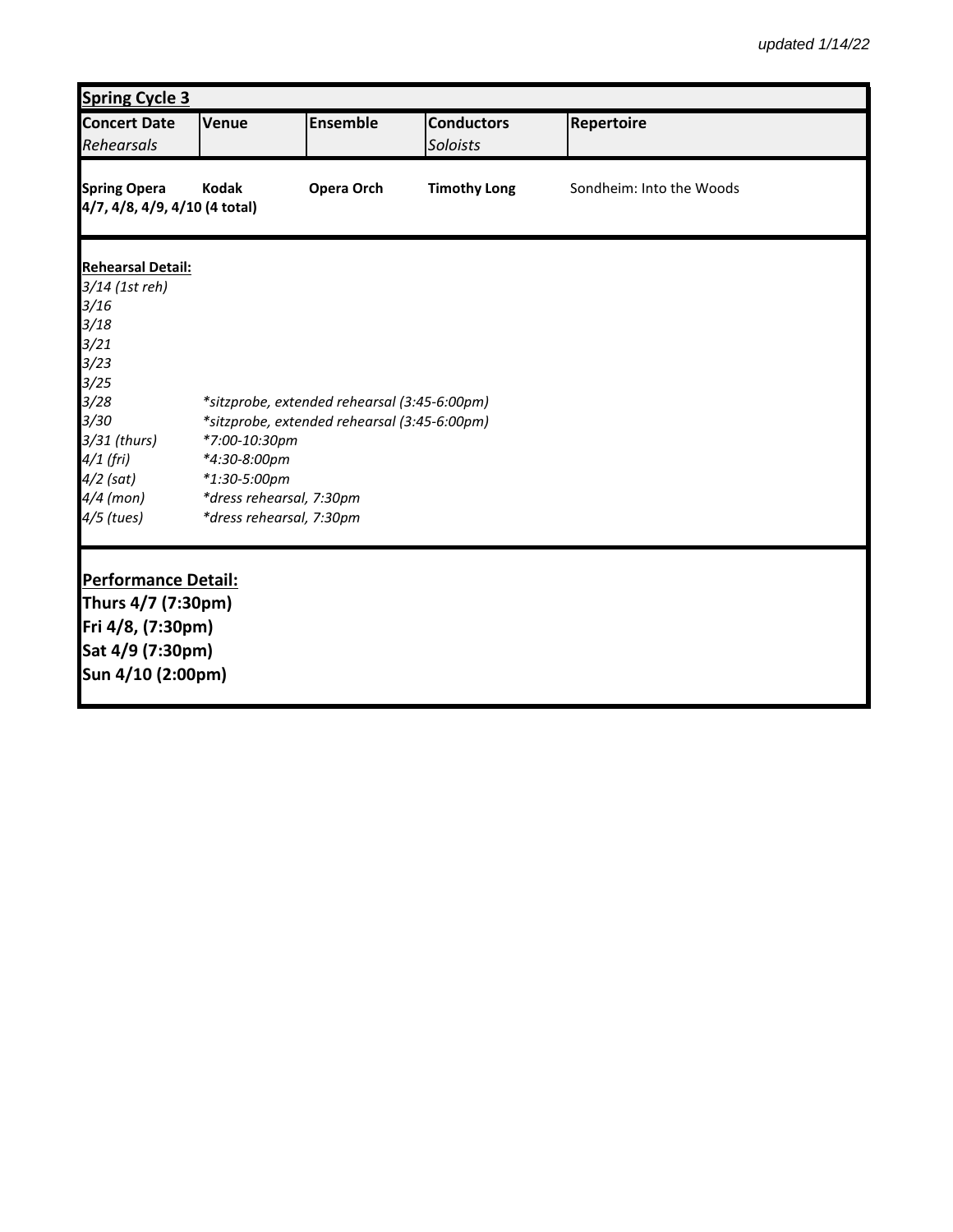| <b>Spring Cycle 3</b>                                |                                                               |                 |                     |                          |  |
|------------------------------------------------------|---------------------------------------------------------------|-----------------|---------------------|--------------------------|--|
| <b>Concert Date</b>                                  | Venue                                                         | <b>Ensemble</b> | <b>Conductors</b>   | Repertoire               |  |
| Rehearsals                                           |                                                               |                 | Soloists            |                          |  |
| <b>Spring Opera</b><br>4/7, 4/8, 4/9, 4/10 (4 total) | <b>Kodak</b>                                                  | Opera Orch      | <b>Timothy Long</b> | Sondheim: Into the Woods |  |
| <b>Rehearsal Detail:</b>                             |                                                               |                 |                     |                          |  |
| 3/14 (1st reh)                                       |                                                               |                 |                     |                          |  |
| 3/16                                                 |                                                               |                 |                     |                          |  |
| 3/18                                                 |                                                               |                 |                     |                          |  |
| 3/21                                                 |                                                               |                 |                     |                          |  |
| 3/23                                                 |                                                               |                 |                     |                          |  |
| 3/25                                                 |                                                               |                 |                     |                          |  |
| 3/28<br>3/30                                         | *sitzprobe, extended rehearsal (3:45-6:00pm)                  |                 |                     |                          |  |
| 3/31 (thurs)                                         | *sitzprobe, extended rehearsal (3:45-6:00pm)<br>*7:00-10:30pm |                 |                     |                          |  |
| 4/1 (fri)                                            | *4:30-8:00pm                                                  |                 |                     |                          |  |
| 4/2 (sat)                                            | *1:30-5:00pm                                                  |                 |                     |                          |  |
| 4/4 (mon)                                            | *dress rehearsal, 7:30pm                                      |                 |                     |                          |  |
| 4/5 (tues)                                           | *dress rehearsal, 7:30pm                                      |                 |                     |                          |  |
|                                                      |                                                               |                 |                     |                          |  |
|                                                      |                                                               |                 |                     |                          |  |
| <b>Performance Detail:</b>                           |                                                               |                 |                     |                          |  |
| Thurs 4/7 (7:30pm)                                   |                                                               |                 |                     |                          |  |
| Fri 4/8, (7:30pm)                                    |                                                               |                 |                     |                          |  |
| Sat 4/9 (7:30pm)                                     |                                                               |                 |                     |                          |  |
| Sun 4/10 (2:00pm)                                    |                                                               |                 |                     |                          |  |
|                                                      |                                                               |                 |                     |                          |  |